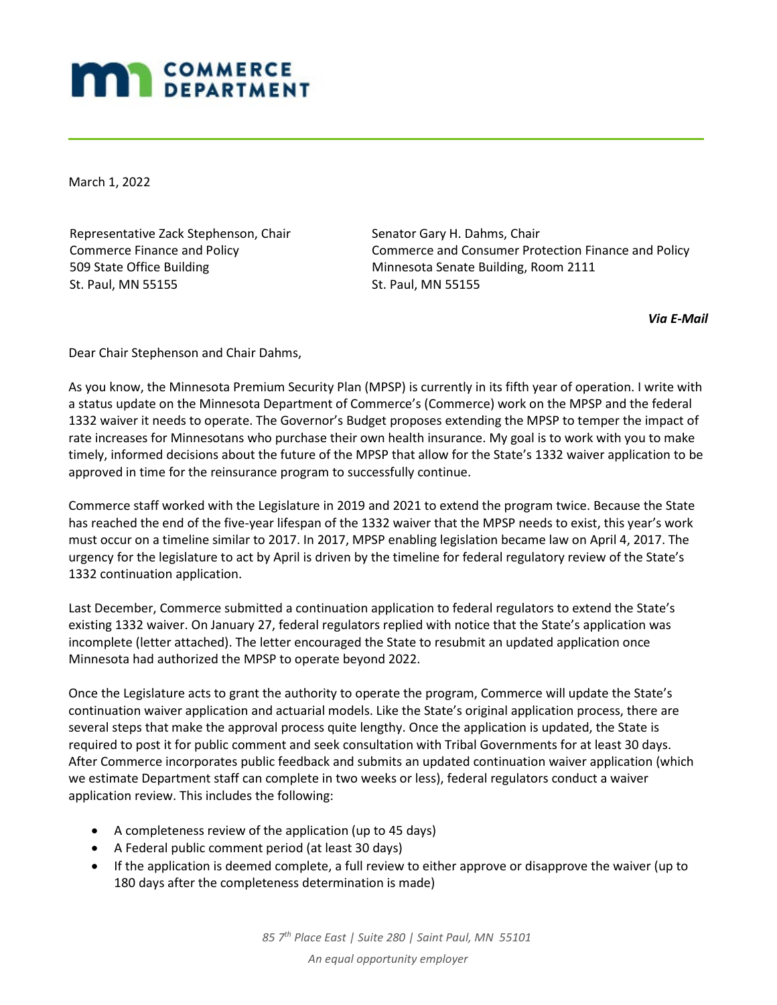## **MAN** COMMERCE

March 1, 2022

Representative Zack Stephenson, Chair Commerce Finance and Policy 509 State Office Building St. Paul, MN 55155

Senator Gary H. Dahms, Chair Commerce and Consumer Protection Finance and Policy Minnesota Senate Building, Room 2111 St. Paul, MN 55155

*Via E-Mail*

Dear Chair Stephenson and Chair Dahms,

As you know, the Minnesota Premium Security Plan (MPSP) is currently in its fifth year of operation. I write with a status update on the Minnesota Department of Commerce's (Commerce) work on the MPSP and the federal 1332 waiver it needs to operate. The Governor's Budget proposes extending the MPSP to temper the impact of rate increases for Minnesotans who purchase their own health insurance. My goal is to work with you to make timely, informed decisions about the future of the MPSP that allow for the State's 1332 waiver application to be approved in time for the reinsurance program to successfully continue.

Commerce staff worked with the Legislature in 2019 and 2021 to extend the program twice. Because the State has reached the end of the five-year lifespan of the 1332 waiver that the MPSP needs to exist, this year's work must occur on a timeline similar to 2017. In 2017, MPSP enabling legislation became law on April 4, 2017. The urgency for the legislature to act by April is driven by the timeline for federal regulatory review of the State's 1332 continuation application.

Last December, Commerce submitted a continuation application to federal regulators to extend the State's existing 1332 waiver. On January 27, federal regulators replied with notice that the State's application was incomplete (letter attached). The letter encouraged the State to resubmit an updated application once Minnesota had authorized the MPSP to operate beyond 2022.

Once the Legislature acts to grant the authority to operate the program, Commerce will update the State's continuation waiver application and actuarial models. Like the State's original application process, there are several steps that make the approval process quite lengthy. Once the application is updated, the State is required to post it for public comment and seek consultation with Tribal Governments for at least 30 days. After Commerce incorporates public feedback and submits an updated continuation waiver application (which we estimate Department staff can complete in two weeks or less), federal regulators conduct a waiver application review. This includes the following:

- A completeness review of the application (up to 45 days)
- A Federal public comment period (at least 30 days)
- If the application is deemed complete, a full review to either approve or disapprove the waiver (up to 180 days after the completeness determination is made)